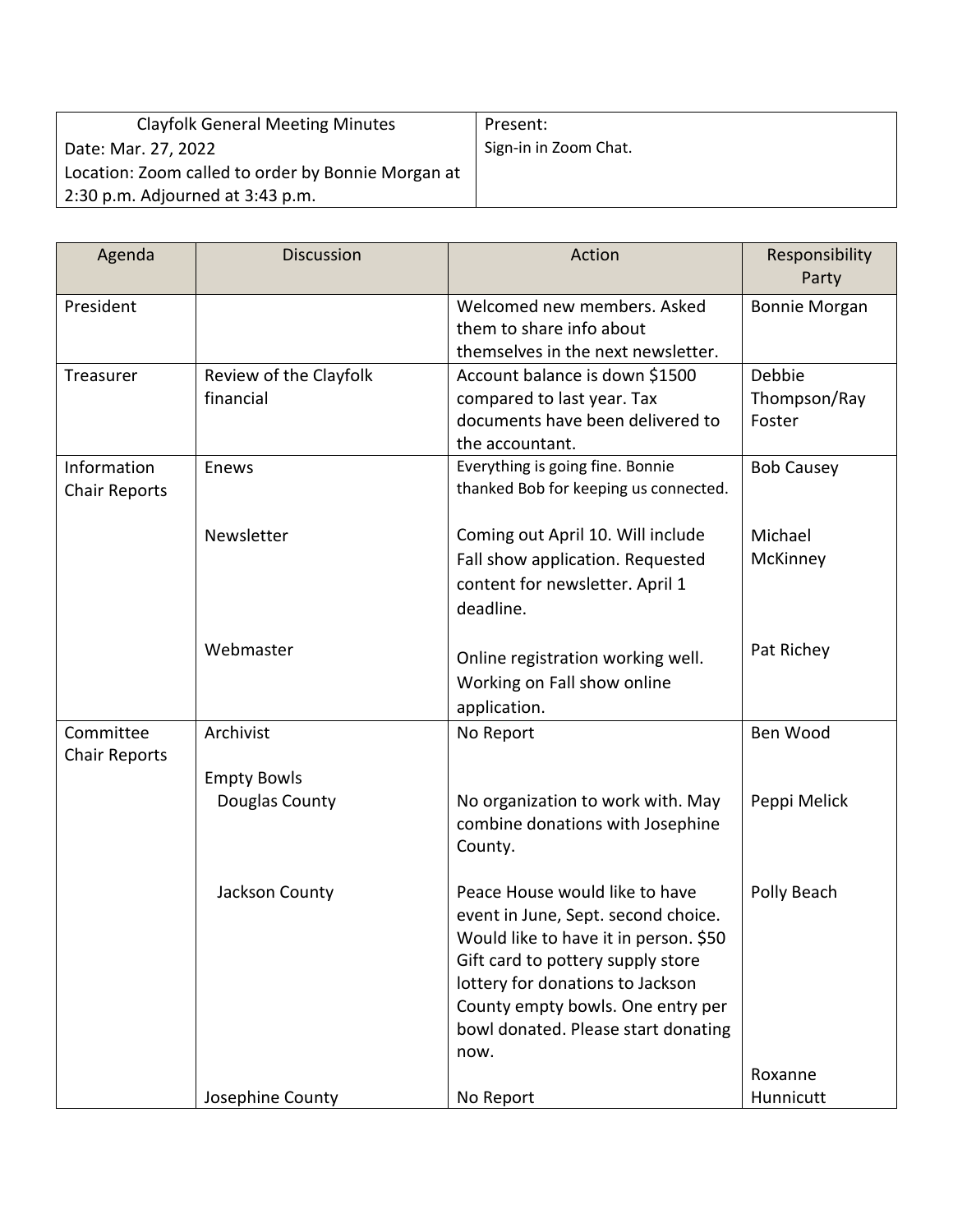| <b>Clayfolk General Meeting Minutes</b>            | Present:              |
|----------------------------------------------------|-----------------------|
| Date: Mar. 27, 2022                                | Sign-in in Zoom Chat. |
| Location: Zoom called to order by Bonnie Morgan at |                       |
| $2:30$ p.m. Adjourned at $3:43$ p.m.               |                       |

| Agenda                              | <b>Discussion</b>                    | Action                                                                                                                                                                                                                                                                      | Responsibility<br>Party          |
|-------------------------------------|--------------------------------------|-----------------------------------------------------------------------------------------------------------------------------------------------------------------------------------------------------------------------------------------------------------------------------|----------------------------------|
| President                           |                                      | Welcomed new members. Asked<br>them to share info about<br>themselves in the next newsletter.                                                                                                                                                                               | <b>Bonnie Morgan</b>             |
| Treasurer                           | Review of the Clayfolk<br>financial  | Account balance is down \$1500<br>compared to last year. Tax<br>documents have been delivered to<br>the accountant.                                                                                                                                                         | Debbie<br>Thompson/Ray<br>Foster |
| Information<br><b>Chair Reports</b> | Enews                                | Everything is going fine. Bonnie<br>thanked Bob for keeping us connected.                                                                                                                                                                                                   | <b>Bob Causey</b>                |
|                                     | Newsletter                           | Coming out April 10. Will include<br>Fall show application. Requested<br>content for newsletter. April 1<br>deadline.                                                                                                                                                       | Michael<br>McKinney              |
|                                     | Webmaster                            | Online registration working well.<br>Working on Fall show online<br>application.                                                                                                                                                                                            | Pat Richey                       |
| Committee<br><b>Chair Reports</b>   | Archivist                            | No Report                                                                                                                                                                                                                                                                   | Ben Wood                         |
|                                     | <b>Empty Bowls</b><br>Douglas County | No organization to work with. May<br>combine donations with Josephine<br>County.                                                                                                                                                                                            | Peppi Melick                     |
|                                     | Jackson County                       | Peace House would like to have<br>event in June, Sept. second choice.<br>Would like to have it in person. \$50<br>Gift card to pottery supply store<br>lottery for donations to Jackson<br>County empty bowls. One entry per<br>bowl donated. Please start donating<br>now. | Polly Beach                      |
|                                     | Josephine County                     | No Report                                                                                                                                                                                                                                                                   | Roxanne<br>Hunnicutt             |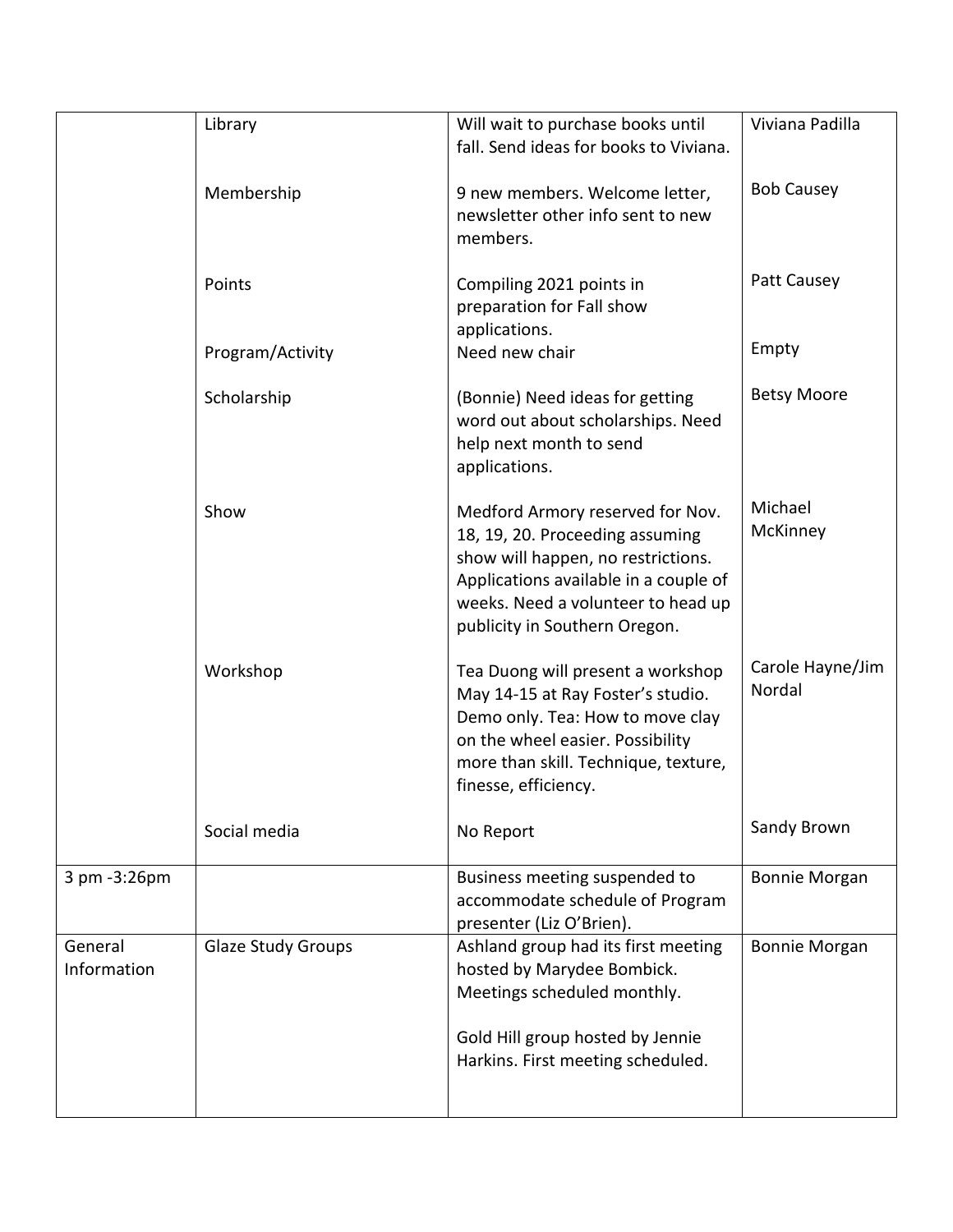|                        | Library                   | Will wait to purchase books until<br>fall. Send ideas for books to Viviana.                                                                                                                                               | Viviana Padilla            |
|------------------------|---------------------------|---------------------------------------------------------------------------------------------------------------------------------------------------------------------------------------------------------------------------|----------------------------|
|                        | Membership                | 9 new members. Welcome letter,<br>newsletter other info sent to new<br>members.                                                                                                                                           | <b>Bob Causey</b>          |
|                        | Points                    | Compiling 2021 points in<br>preparation for Fall show<br>applications.                                                                                                                                                    | Patt Causey                |
|                        | Program/Activity          | Need new chair                                                                                                                                                                                                            | Empty                      |
|                        | Scholarship               | (Bonnie) Need ideas for getting<br>word out about scholarships. Need<br>help next month to send<br>applications.                                                                                                          | <b>Betsy Moore</b>         |
|                        | Show                      | Medford Armory reserved for Nov.<br>18, 19, 20. Proceeding assuming<br>show will happen, no restrictions.<br>Applications available in a couple of<br>weeks. Need a volunteer to head up<br>publicity in Southern Oregon. | Michael<br>McKinney        |
|                        | Workshop                  | Tea Duong will present a workshop<br>May 14-15 at Ray Foster's studio.<br>Demo only. Tea: How to move clay<br>on the wheel easier. Possibility<br>more than skill. Technique, texture,<br>finesse, efficiency.            | Carole Hayne/Jim<br>Nordal |
|                        | Social media              | No Report                                                                                                                                                                                                                 | Sandy Brown                |
| 3 pm -3:26pm           |                           | Business meeting suspended to<br>accommodate schedule of Program<br>presenter (Liz O'Brien).                                                                                                                              | <b>Bonnie Morgan</b>       |
| General<br>Information | <b>Glaze Study Groups</b> | Ashland group had its first meeting<br>hosted by Marydee Bombick.<br>Meetings scheduled monthly.                                                                                                                          | <b>Bonnie Morgan</b>       |
|                        |                           | Gold Hill group hosted by Jennie<br>Harkins. First meeting scheduled.                                                                                                                                                     |                            |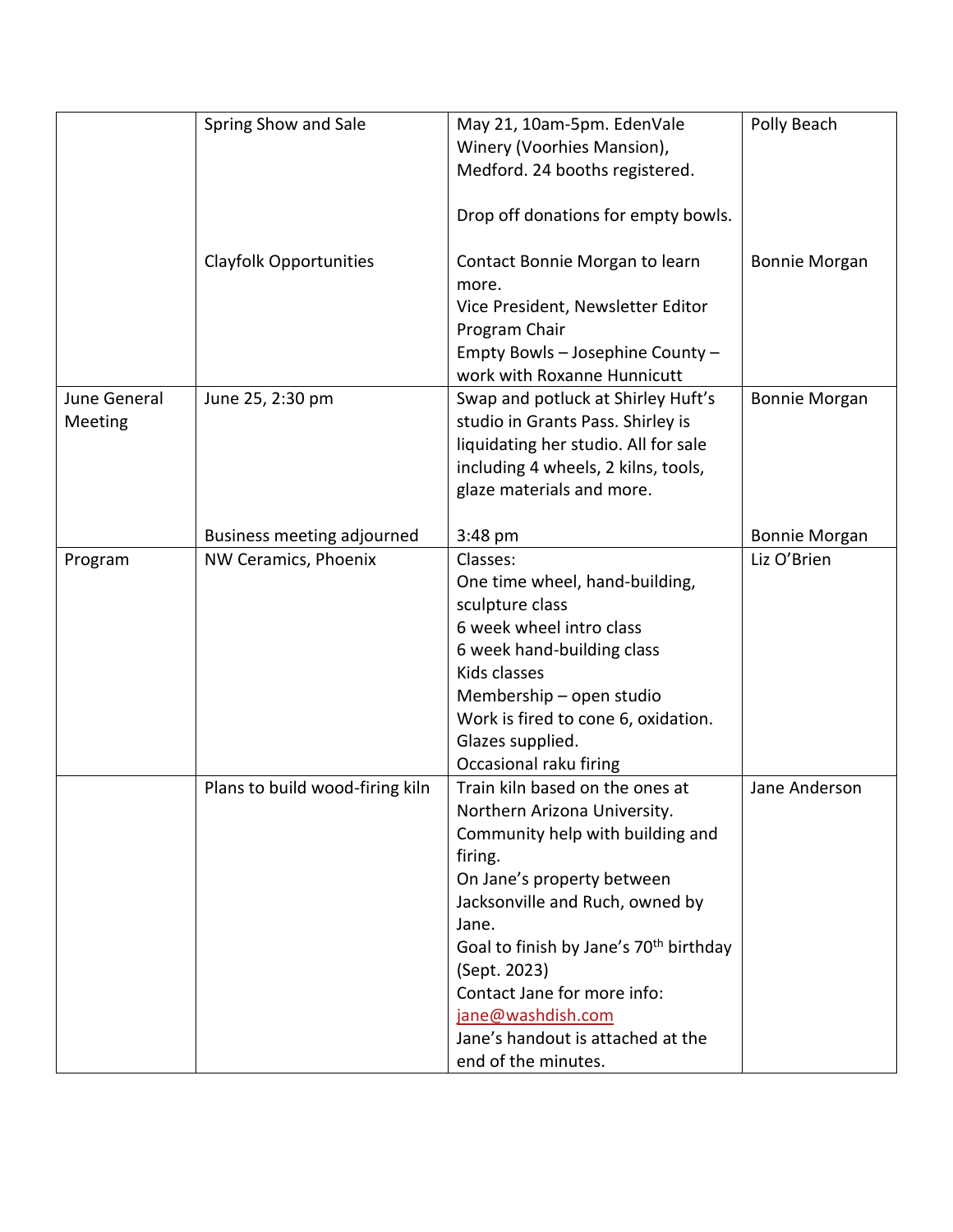|              | Spring Show and Sale            | May 21, 10am-5pm. EdenVale                         | Polly Beach          |
|--------------|---------------------------------|----------------------------------------------------|----------------------|
|              |                                 | Winery (Voorhies Mansion),                         |                      |
|              |                                 | Medford. 24 booths registered.                     |                      |
|              |                                 |                                                    |                      |
|              |                                 | Drop off donations for empty bowls.                |                      |
|              |                                 |                                                    |                      |
|              | <b>Clayfolk Opportunities</b>   | Contact Bonnie Morgan to learn                     | <b>Bonnie Morgan</b> |
|              |                                 | more.                                              |                      |
|              |                                 | Vice President, Newsletter Editor                  |                      |
|              |                                 | Program Chair                                      |                      |
|              |                                 | Empty Bowls - Josephine County -                   |                      |
|              |                                 | work with Roxanne Hunnicutt                        |                      |
| June General | June 25, 2:30 pm                | Swap and potluck at Shirley Huft's                 | <b>Bonnie Morgan</b> |
| Meeting      |                                 | studio in Grants Pass. Shirley is                  |                      |
|              |                                 | liquidating her studio. All for sale               |                      |
|              |                                 | including 4 wheels, 2 kilns, tools,                |                      |
|              |                                 | glaze materials and more.                          |                      |
|              |                                 |                                                    |                      |
|              | Business meeting adjourned      | 3:48 pm                                            | <b>Bonnie Morgan</b> |
|              | NW Ceramics, Phoenix            | Classes:                                           | Liz O'Brien          |
| Program      |                                 |                                                    |                      |
|              |                                 | One time wheel, hand-building,                     |                      |
|              |                                 | sculpture class                                    |                      |
|              |                                 | 6 week wheel intro class                           |                      |
|              |                                 | 6 week hand-building class                         |                      |
|              |                                 | Kids classes                                       |                      |
|              |                                 | Membership - open studio                           |                      |
|              |                                 | Work is fired to cone 6, oxidation.                |                      |
|              |                                 | Glazes supplied.                                   |                      |
|              |                                 | Occasional raku firing                             |                      |
|              | Plans to build wood-firing kiln | Train kiln based on the ones at                    | Jane Anderson        |
|              |                                 | Northern Arizona University.                       |                      |
|              |                                 | Community help with building and                   |                      |
|              |                                 | firing.                                            |                      |
|              |                                 | On Jane's property between                         |                      |
|              |                                 | Jacksonville and Ruch, owned by                    |                      |
|              |                                 | Jane.                                              |                      |
|              |                                 | Goal to finish by Jane's 70 <sup>th</sup> birthday |                      |
|              |                                 | (Sept. 2023)                                       |                      |
|              |                                 | Contact Jane for more info:                        |                      |
|              |                                 | jane@washdish.com                                  |                      |
|              |                                 | Jane's handout is attached at the                  |                      |
|              |                                 | end of the minutes.                                |                      |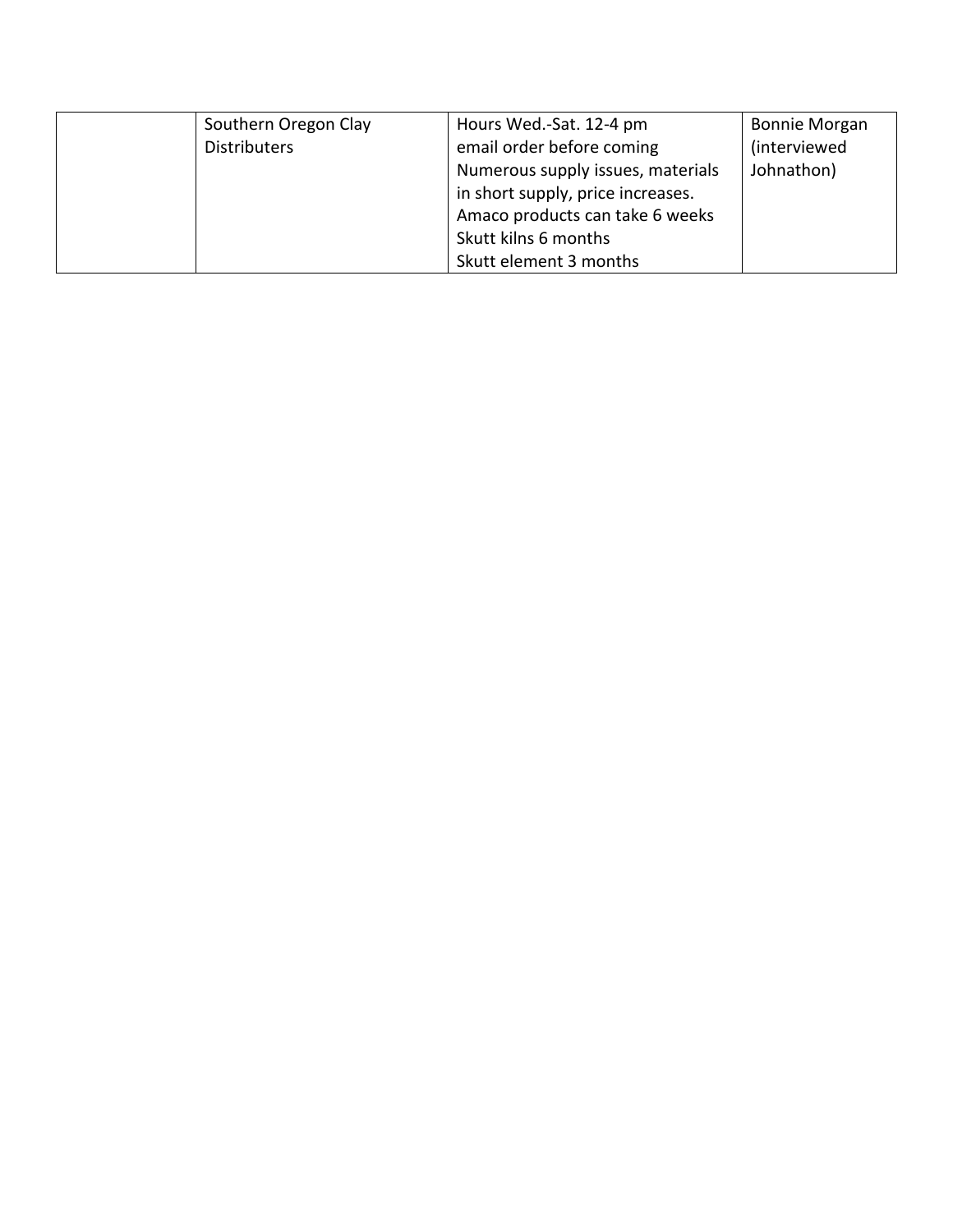| Southern Oregon Clay | Hours Wed.-Sat. 12-4 pm           | <b>Bonnie Morgan</b> |
|----------------------|-----------------------------------|----------------------|
| <b>Distributers</b>  | email order before coming         | <i>(interviewed)</i> |
|                      | Numerous supply issues, materials | Johnathon)           |
|                      | in short supply, price increases. |                      |
|                      | Amaco products can take 6 weeks   |                      |
|                      | Skutt kilns 6 months              |                      |
|                      | Skutt element 3 months            |                      |